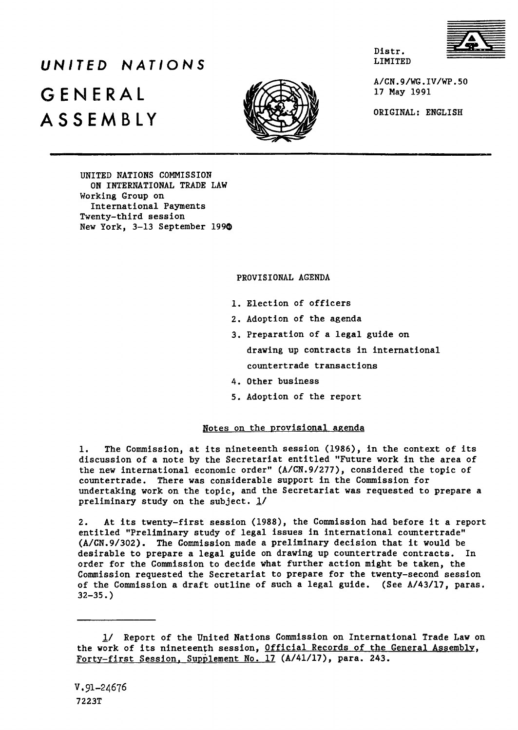

# LIMITED *UNITED NATIONS* **GENERAL** j *i* **ASSEMBLY** ORIGINAL: ENGLISH



A/CN.9/WG.IV/WP.50<br>17 May 1991

Distr.

UNITED NATIONS COMMISSION ON INTERNATIONAL TRADE LAW Working Group on International Payments Twenty-third session New York, 3-13 September 199®

## PROVISIONAL AGENDA

- 1. Election of officers
- 2. Adoption of the agenda
- 3. Preparation of a legal guide on drawing up contracts in international countertrade transactions
- 4. Other business
- 5. Adoption of the report

## Notes on the provisional agenda

1. The Commission, at its nineteenth session (1986), in the context of its discussion of a note by the Secretariat entitled "Future work in the area of the new international economic order" (A/CN.9/277), considered the topic of countertrade. There was considerable support in the Commission for undertaking work on the topic, and the Secretariat was requested to prepare a preliminary study on the subject.  $\frac{1}{2}$ 

2. At its twenty-first session (1988), the Commission had before it a report entitled "Preliminary study of legal issues in international countertrade" (A/CN.9/302). The Commission made a preliminary decision that it would be desirable to prepare a legal guide on drawing up countertrade contracts. In order for the Commission to decide what further action might be taken, the Commission requested the Secretariat to prepare for the twenty-second session of the Commission a draft outline of such a legal guide. (See A/43/17, paras.  $32 - 35.$ 

<sup>1/</sup> Report of the United Nations Commission on International Trade Law on the work of its nineteenth session, Official Records of the General Assembly. Forty-first Session, Supplement No. 17 (A/41/17), para. 243.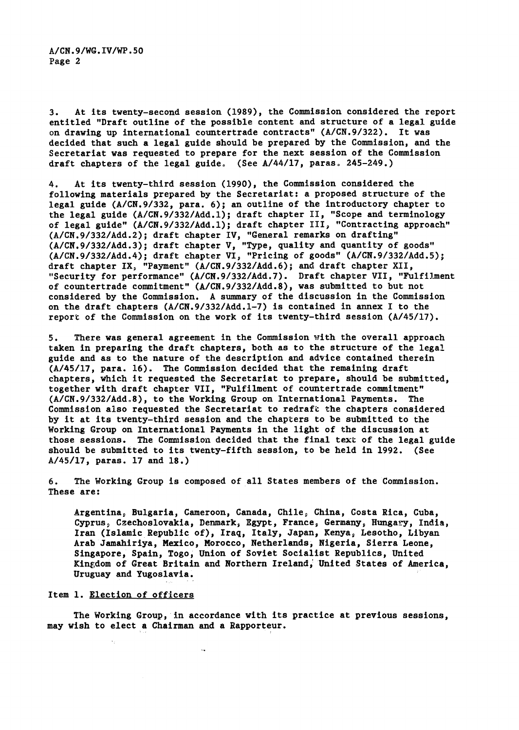3. At its twenty-second session (1989), the Commission considered the report entitled "Draft outline of the possible content and structure of a legal guide on drawing up international countertrade contracts" (A/CN.9/322). It was decided that such a legal guide should be prepared by the Commission, and the Secretariat was requested to prepare for the next session of the Commission draft chapters of the legal guide. (See  $A/44/17$ , paras. 245-249.)

4. At its twenty-third session (1990), the Commission considered the following materials prepared by the Secretariat: a proposed structure of the legal guide (A/CN.9/332, para. 6); an outline of the introductory chapter to the legal guide (A/CN.9/332/Add.1); draft chapter II, "Scope and terminology of legal guide" (A/CN.9/332/Add.1); draft chapter III, "Contracting approach" (A/CN.9/332/Add.2); draft chapter IV, "General remarks on drafting" (A/CN.9/332/Add.3); draft chapter V, "Type, quality and quantity of goods" (A/CN.9/332/Add.4); draft chapter VI, "Pricing of goods" (A/CN.9/332/Add.5)j draft chapter IX, "Payment" (A/CN.9/332/Add.6); and draft chapter XII, "Security for performance" (A/CN.9/332/Add.7). Draft chapter VII, "Fulfilment of countertrade commitment" (A/CN.9/332/Add.8), was submitted to but not considered by the Commission. A summary of the discussion in the Commission on the draft chapters (A/CN.9/332/Add.1-7) is contained in annex I to the report of the Commission on the work of its twenty-third session (A/45/17).

5. There was general agreement in the Commission with the overall approach taken in preparing the draft chapters, both as to the structure of the legal guide and as to the nature of the description and advice contained therein (A/45/17, para. 16). The Commission decided that the remaining draft chapters, which it requested the Secretariat to prepare, should be submitted, together with draft chapter VII, "Fulfilment of countertrade commitment" (A/CN.9/332/Add.8), to the Working Group on International Payments. The Commission also requested the Secretariat to redraft the chapters considered by it at its twenty-third session and the chapters to be submitted to the Working Group on International Payments in the light of the discussion at those sessions. The Commission decided that the final text of the legal guide should be submitted to its twenty-fifth session, to be held in 1992. (See A/45/17, paras. 17 and 18.)

6. The Working Group is composed of all States members of the Commission. These are:

Argentina, Bulgaria, Cameroon, Canada, Chile, China, Costa Rica, Cuba, Cyprus, Czechoslovakia, Denmark, Egypt, France, Germany, Hungary, India, Iran (Islamic Republic of), Iraq, Italy, Japan, Kenya, Lesotho, Libyan Arab Jamahiriya, Mexico, Morocco, Netherlands, Nigeria, Sierra Leone, Singapore, Spain, Togo, Union of Soviet Socialist Republics, United Kingdom of Great Britain and Northern Ireland, United States of America, Uruguay and Yugoslavia.

#### Item 1. Election of officers

The Working Group, in accordance with its practice at previous sessions, may wish to elect a Chairman and a Rapporteur.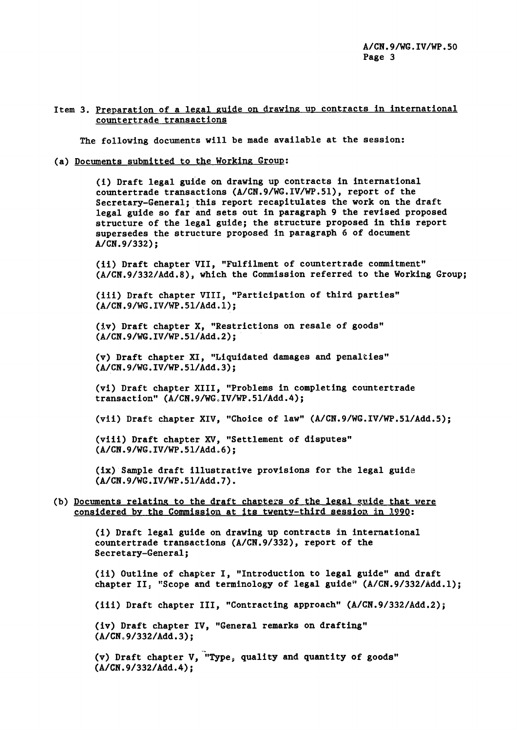## Item 3. Preparation of a legal guide on drawing up contracts in international countertrade transactions

The following documents will be made available at the session:

#### (a) Documents submitted to the Working Group;

(i) Draft legal guide on drawing up contracts in international countertrade transactions (A/CN.9/WG.IV/WP.51), report of the Secretary-General; this report recapitulates the work on the draft legal guide so far and sets out in paragraph 9 the revised proposed structure of the legal guide; the structure proposed in this report supersedes the structure proposed in paragraph 6 of document A/CN.9/332);

(11) Draft chapter VII, "Fulfilment of countertrade commitment" (A/CN.9/332/Add.8), which the Commission referred to the Working Group;

(iii) Draft chapter VIII, "Participation of third parties" (A/CN.9/WG.IV/WP.51/Add.1);

(Iv) Draft chapter X, "Restrictions on resale of goods" (A/CN.9/WG.IV/WP.51/Add.2);

(v) Draft chapter XI, "Liquidated damages and penalties" (A/CN.9/WG.IV/WP.51/Add.3);

(vi) Draft chapter XIII, "Problems in completing countertrade transaction" (A/CN.9/WG.IV/WP.51/Add.4);

(vii) Draft chapter XIV, "Choice of law" (A/CN.9/WG.IV/WP.51/Add.5);

(viii) Draft chapter XV, "Settlement of disputes" (A/CN.9/WG.IV/WP.51/Add.6);

(ix) Sample draft illustrative provisions for the legal guide  $(A/CN.9/WG.IV/WP.51/Add.7)$ .

## (b) Documents relating to the draft chapters of the legal guide that were considered by the Commlssioa at its twenty-third session in 1990;

(i) Draft legal guide on drawing up contracts in international countertrade transactions (A/CN.9/332), report of the Secretary-General;

(11) Outline of chapter I, "Introduction to legal guide" and draft chapter 11, "Scope and terminology of legal guide" (A/CN.9/332/Add.1);

(ill) Draft chapter III, "Contracting approach" (A/CN.9/332/Add.2);

(iv) Draft chapter IV, "General remarks on drafting"  $(A/CN.9/332/Add.3);$ 

(v) Draft chapter V, "Type, quality and quantity of goods" (A/CN.9/332/Add.4);